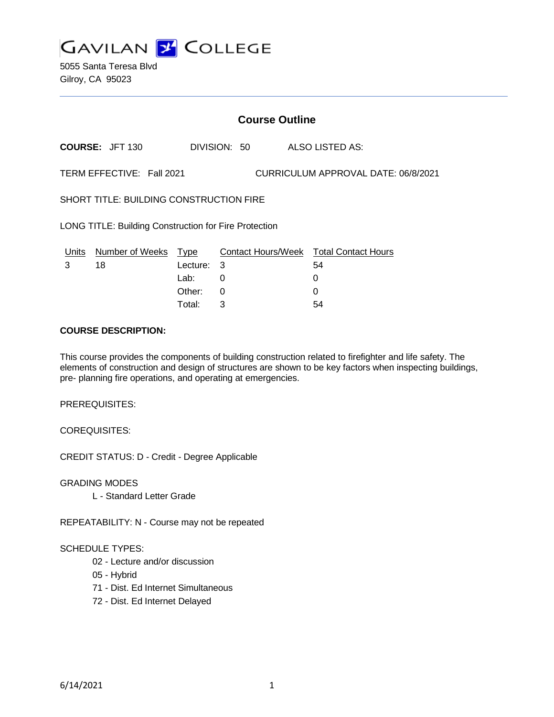

5055 Santa Teresa Blvd Gilroy, CA 95023

# **Course Outline**

**COURSE:** JFT 130 DIVISION: 50 ALSO LISTED AS:

TERM EFFECTIVE: Fall 2021 CURRICULUM APPROVAL DATE: 06/8/2021

SHORT TITLE: BUILDING CONSTRUCTION FIRE

LONG TITLE: Building Construction for Fire Protection

| Units | Number of Weeks Type |            | Contact Hours/Week Total Contact Hours |    |
|-------|----------------------|------------|----------------------------------------|----|
|       | 18                   | Lecture: 3 |                                        | 54 |
|       |                      | Lab: .     |                                        |    |
|       |                      | Other: 0   |                                        |    |
|       |                      | Total:     |                                        | 54 |

### **COURSE DESCRIPTION:**

This course provides the components of building construction related to firefighter and life safety. The elements of construction and design of structures are shown to be key factors when inspecting buildings, pre- planning fire operations, and operating at emergencies.

PREREQUISITES:

COREQUISITES:

CREDIT STATUS: D - Credit - Degree Applicable

GRADING MODES

L - Standard Letter Grade

REPEATABILITY: N - Course may not be repeated

#### SCHEDULE TYPES:

- 02 Lecture and/or discussion
- 05 Hybrid
- 71 Dist. Ed Internet Simultaneous
- 72 Dist. Ed Internet Delayed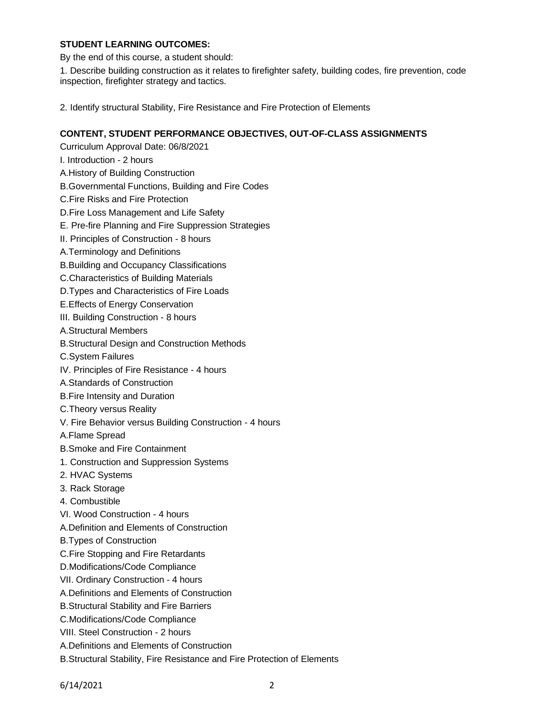## **STUDENT LEARNING OUTCOMES:**

By the end of this course, a student should:

1. Describe building construction as it relates to firefighter safety, building codes, fire prevention, code inspection, firefighter strategy and tactics.

2. Identify structural Stability, Fire Resistance and Fire Protection of Elements

### **CONTENT, STUDENT PERFORMANCE OBJECTIVES, OUT-OF-CLASS ASSIGNMENTS**

- Curriculum Approval Date: 06/8/2021 I. Introduction - 2 hours A.History of Building Construction
- B.Governmental Functions, Building and Fire Codes
- C.Fire Risks and Fire Protection
- D.Fire Loss Management and Life Safety
- E. Pre-fire Planning and Fire Suppression Strategies
- II. Principles of Construction 8 hours
- A.Terminology and Definitions
- B.Building and Occupancy Classifications
- C.Characteristics of Building Materials
- D.Types and Characteristics of Fire Loads
- E.Effects of Energy Conservation
- III. Building Construction 8 hours
- A.Structural Members
- B.Structural Design and Construction Methods
- C.System Failures
- IV. Principles of Fire Resistance 4 hours
- A.Standards of Construction
- B.Fire Intensity and Duration
- C.Theory versus Reality
- V. Fire Behavior versus Building Construction 4 hours
- A.Flame Spread
- B.Smoke and Fire Containment
- 1. Construction and Suppression Systems
- 2. HVAC Systems
- 3. Rack Storage
- 4. Combustible
- VI. Wood Construction 4 hours
- A.Definition and Elements of Construction
- B.Types of Construction
- C.Fire Stopping and Fire Retardants
- D.Modifications/Code Compliance
- VII. Ordinary Construction 4 hours
- A.Definitions and Elements of Construction
- B.Structural Stability and Fire Barriers
- C.Modifications/Code Compliance
- VIII. Steel Construction 2 hours
- A.Definitions and Elements of Construction
- B.Structural Stability, Fire Resistance and Fire Protection of Elements

6/14/2021 2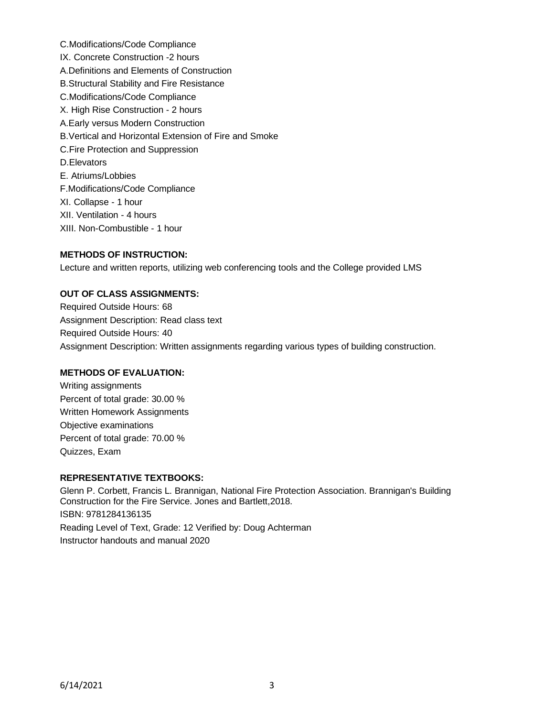C.Modifications/Code Compliance IX. Concrete Construction -2 hours A.Definitions and Elements of Construction B.Structural Stability and Fire Resistance C.Modifications/Code Compliance X. High Rise Construction - 2 hours A.Early versus Modern Construction B.Vertical and Horizontal Extension of Fire and Smoke C.Fire Protection and Suppression D.Elevators E. Atriums/Lobbies F.Modifications/Code Compliance XI. Collapse - 1 hour XII. Ventilation - 4 hours XIII. Non-Combustible - 1 hour

## **METHODS OF INSTRUCTION:**

Lecture and written reports, utilizing web conferencing tools and the College provided LMS

## **OUT OF CLASS ASSIGNMENTS:**

Required Outside Hours: 68 Assignment Description: Read class text Required Outside Hours: 40 Assignment Description: Written assignments regarding various types of building construction.

#### **METHODS OF EVALUATION:**

Writing assignments Percent of total grade: 30.00 % Written Homework Assignments Objective examinations Percent of total grade: 70.00 % Quizzes, Exam

#### **REPRESENTATIVE TEXTBOOKS:**

Glenn P. Corbett, Francis L. Brannigan, National Fire Protection Association. Brannigan's Building Construction for the Fire Service. Jones and Bartlett,2018. ISBN: 9781284136135 Reading Level of Text, Grade: 12 Verified by: Doug Achterman Instructor handouts and manual 2020